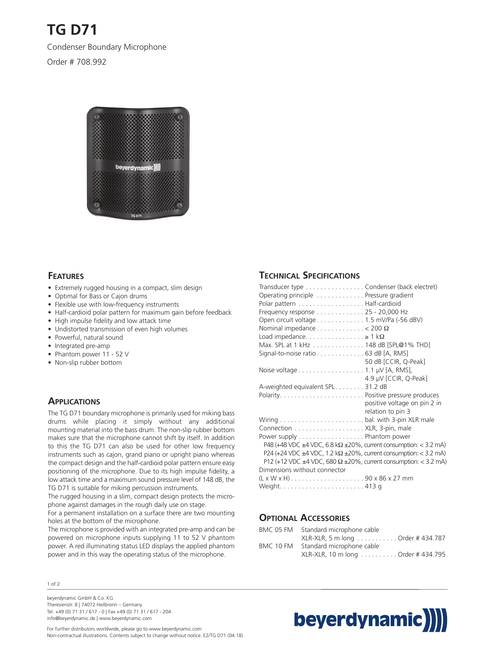**TG D71**

Condenser Boundary Microphone

Order # 708.992



### **FEATURES**

- Extremely rugged housing in a compact, slim design
- Optimal for Bass or Cajon drums
- Flexible use with low-frequency instruments
- Half-cardioid polar pattern for maximum gain before feedback
- High impulse fidelity and low attack time
- Undistorted transmission of even high volumes
- Powerful, natural sound
- Integrated pre-amp
- Phantom power 11 52 V
- Non-slip rubber bottom

#### **APPLICATIONS**

The TG D71 boundary microphone is primarily used for miking bass drums while placing it simply without any additional mounting material into the bass drum. The non-slip rubber bottom makes sure that the microphone cannot shift by itself. In addition to this the TG D71 can also be used for other low frequency instruments such as cajon, grand piano or upright piano whereas the compact design and the half-cardioid polar pattern ensure easy positioning of the microphone. Due to its high impulse fidelity, a low attack time and a maximum sound pressure level of 148 dB, the TG D71 is suitable for miking percussion instruments.

The rugged housing in a slim, compact design protects the microphone against damages in the rough daily use on stage.

For a permanent installation on a surface there are two mounting holes at the bottom of the microphone.

The microphone is provided with an integrated pre-amp and can be powered on microphone inputs supplying 11 to 52 V phantom power. A red illuminating status LED displays the applied phantom power and in this way the operating status of the microphone.

#### 1 of 2

beyerdynamic GmbH & Co. KG Theresienstr. 8 | 74072 Heilbronn – Germany Tel. +49 (0) 71 31 / 617 - 0 | Fax +49 (0) 71 31 / 617 - 204 info@beyerdynamic.de | www.beyerdynamic.com

#### **TECHNICAL SPECIFICATIONS**

| Transducer type Condenser (back electret)                                          |
|------------------------------------------------------------------------------------|
| Operating principle Pressure gradient                                              |
| Polar pattern Half-cardioid                                                        |
| Frequency response 25 - 20,000 Hz                                                  |
| Open circuit voltage 1.5 mV/Pa (-56 dBV)                                           |
| Nominal impedance $\dots \dots \dots \dots < 200 \Omega$                           |
| Load impedance $\geq 1$ k $\Omega$                                                 |
| Max. SPL at 1 kHz 148 dB [SPL@1% THD]                                              |
| Signal-to-noise ratio 63 dB [A, RMS]                                               |
| 50 dB [CCIR, Q-Peak]                                                               |
| Noise voltage 1.1 µV [A, RMS],                                                     |
| 4.9 µV [CCIR, Q-Peak]                                                              |
| A-weighted equivalent SPL31.2 dB                                                   |
|                                                                                    |
| positive voltage on pin 2 in                                                       |
| relation to pin 3                                                                  |
|                                                                                    |
| Connection XLR, 3-pin, male                                                        |
| Power supply Phantom power                                                         |
| P48 (+48 VDC $\pm$ 4 VDC, 6.8 k $\Omega$ $\pm$ 20%, current consumption: < 3.2 mA) |
| P24 (+24 VDC $\pm$ 4 VDC, 1.2 k $\Omega$ $\pm$ 20%, current consumption: < 3.2 mA) |
| P12 (+12 VDC $\pm$ 4 VDC, 680 $\Omega$ $\pm$ 20%, current consumption: < 3.2 mA)   |
| Dimensions without connector                                                       |
| $(L \times W \times H)$ 90 x 86 x 27 mm                                            |
|                                                                                    |

#### **OPTIONAL ACCESSORIES**

| BMC 05 FM | Standard microphone cable          |
|-----------|------------------------------------|
|           | XLR-XLR, 5 m long Order # 434.787  |
| BMC 10 FM | Standard microphone cable          |
|           | XLR-XLR, 10 m long Order # 434.795 |

# beyerdynamic)

For further distributors worldwide, please go to www.beyerdynamic.com Non-contractual illustrations. Contents subject to change without notice. E2/TG D71 (04.18)